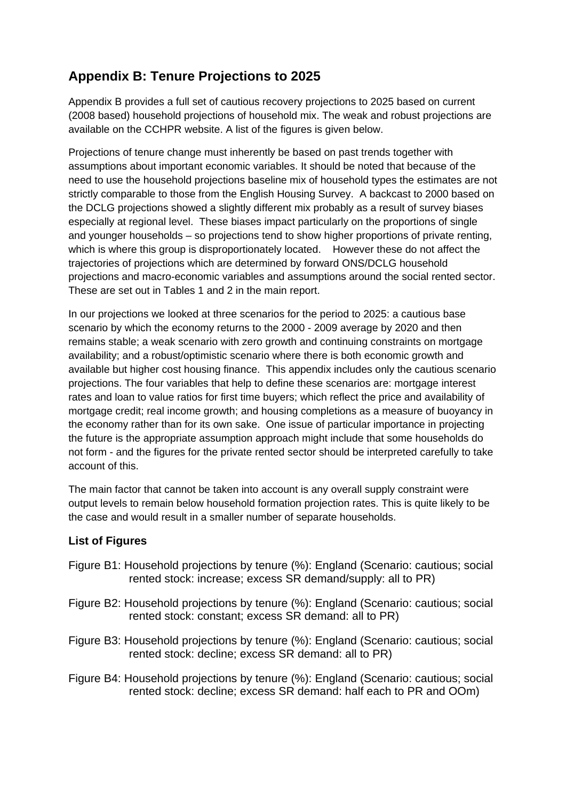## **Appendix B: Tenure Projections to 2025**

Appendix B provides a full set of cautious recovery projections to 2025 based on current (2008 based) household projections of household mix. The weak and robust projections are available on the CCHPR website. A list of the figures is given below.

Projections of tenure change must inherently be based on past trends together with assumptions about important economic variables. It should be noted that because of the need to use the household projections baseline mix of household types the estimates are not strictly comparable to those from the English Housing Survey. A backcast to 2000 based on the DCLG projections showed a slightly different mix probably as a result of survey biases especially at regional level. These biases impact particularly on the proportions of single and younger households – so projections tend to show higher proportions of private renting, which is where this group is disproportionately located. However these do not affect the trajectories of projections which are determined by forward ONS/DCLG household projections and macro-economic variables and assumptions around the social rented sector. These are set out in Tables 1 and 2 in the main report.

In our projections we looked at three scenarios for the period to 2025: a cautious base scenario by which the economy returns to the 2000 - 2009 average by 2020 and then remains stable; a weak scenario with zero growth and continuing constraints on mortgage availability; and a robust/optimistic scenario where there is both economic growth and available but higher cost housing finance. This appendix includes only the cautious scenario projections. The four variables that help to define these scenarios are: mortgage interest rates and loan to value ratios for first time buyers; which reflect the price and availability of mortgage credit; real income growth; and housing completions as a measure of buoyancy in the economy rather than for its own sake. One issue of particular importance in projecting the future is the appropriate assumption approach might include that some households do not form - and the figures for the private rented sector should be interpreted carefully to take account of this.

The main factor that cannot be taken into account is any overall supply constraint were output levels to remain below household formation projection rates. This is quite likely to be the case and would result in a smaller number of separate households.

## **List of Figures**

- Figure B1: Household projections by tenure (%): England (Scenario: cautious; social rented stock: increase; excess SR demand/supply: all to PR)
- Figure B2: Household projections by tenure (%): England (Scenario: cautious; social rented stock: constant; excess SR demand: all to PR)
- Figure B3: Household projections by tenure (%): England (Scenario: cautious; social rented stock: decline; excess SR demand: all to PR)
- Figure B4: Household projections by tenure (%): England (Scenario: cautious; social rented stock: decline; excess SR demand: half each to PR and OOm)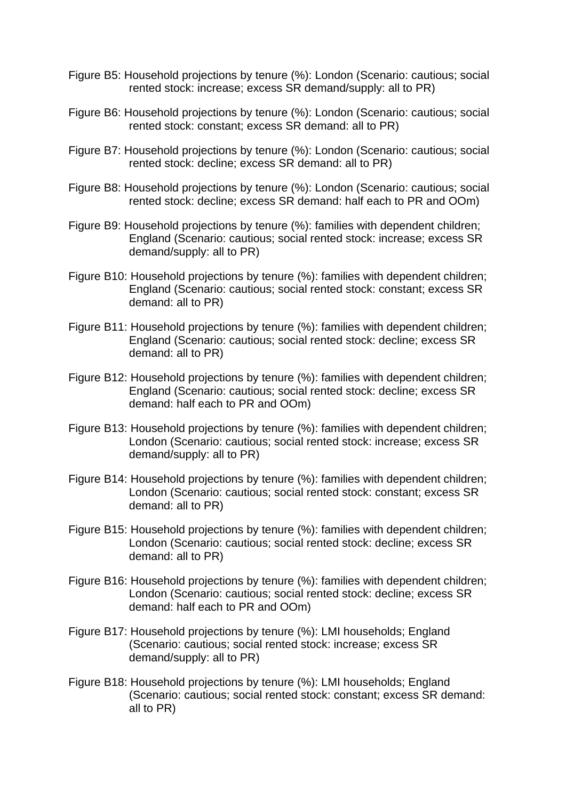- Figure B5: Household projections by tenure (%): London (Scenario: cautious; social rented stock: increase; excess SR demand/supply: all to PR)
- Figure B6: Household projections by tenure (%): London (Scenario: cautious; social rented stock: constant; excess SR demand: all to PR)
- Figure B7: Household projections by tenure (%): London (Scenario: cautious; social rented stock: decline; excess SR demand: all to PR)
- Figure B8: Household projections by tenure (%): London (Scenario: cautious; social rented stock: decline; excess SR demand: half each to PR and OOm)
- Figure B9: Household projections by tenure (%): families with dependent children; England (Scenario: cautious; social rented stock: increase; excess SR demand/supply: all to PR)
- Figure B10: Household projections by tenure (%): families with dependent children; England (Scenario: cautious; social rented stock: constant; excess SR demand: all to PR)
- Figure B11: Household projections by tenure (%): families with dependent children; England (Scenario: cautious; social rented stock: decline; excess SR demand: all to PR)
- Figure B12: Household projections by tenure (%): families with dependent children; England (Scenario: cautious; social rented stock: decline; excess SR demand: half each to PR and OOm)
- Figure B13: Household projections by tenure (%): families with dependent children; London (Scenario: cautious; social rented stock: increase; excess SR demand/supply: all to PR)
- Figure B14: Household projections by tenure (%): families with dependent children; London (Scenario: cautious; social rented stock: constant; excess SR demand: all to PR)
- Figure B15: Household projections by tenure (%): families with dependent children; London (Scenario: cautious; social rented stock: decline; excess SR demand: all to PR)
- Figure B16: Household projections by tenure (%): families with dependent children; London (Scenario: cautious; social rented stock: decline; excess SR demand: half each to PR and OOm)
- Figure B17: Household projections by tenure (%): LMI households; England (Scenario: cautious; social rented stock: increase; excess SR demand/supply: all to PR)
- Figure B18: Household projections by tenure (%): LMI households; England (Scenario: cautious; social rented stock: constant; excess SR demand: all to PR)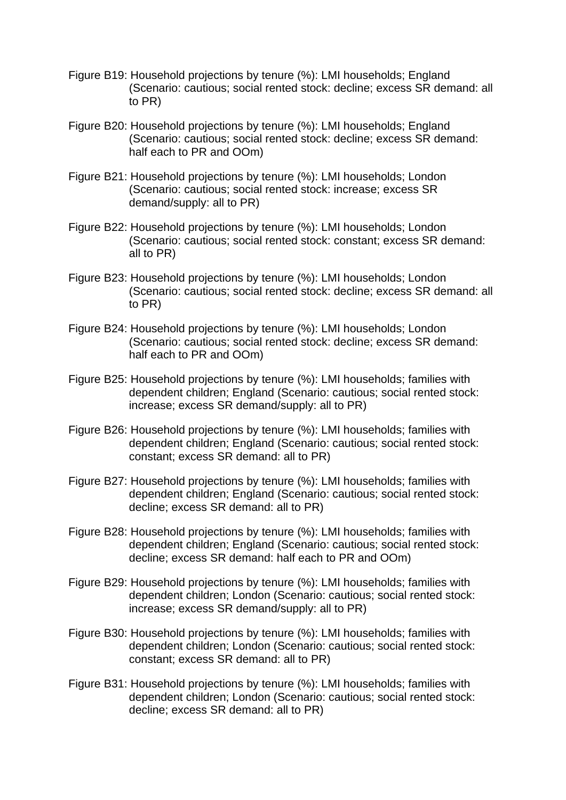- Figure B19: Household projections by tenure (%): LMI households; England (Scenario: cautious; social rented stock: decline; excess SR demand: all to PR)
- Figure B20: Household projections by tenure (%): LMI households; England (Scenario: cautious; social rented stock: decline; excess SR demand: half each to PR and OOm)
- Figure B21: Household projections by tenure (%): LMI households; London (Scenario: cautious; social rented stock: increase; excess SR demand/supply: all to PR)
- Figure B22: Household projections by tenure (%): LMI households; London (Scenario: cautious; social rented stock: constant; excess SR demand: all to PR)
- Figure B23: Household projections by tenure (%): LMI households; London (Scenario: cautious; social rented stock: decline; excess SR demand: all to PR)
- Figure B24: Household projections by tenure (%): LMI households; London (Scenario: cautious; social rented stock: decline; excess SR demand: half each to PR and OOm)
- Figure B25: Household projections by tenure (%): LMI households; families with dependent children; England (Scenario: cautious; social rented stock: increase; excess SR demand/supply: all to PR)
- Figure B26: Household projections by tenure (%): LMI households; families with dependent children; England (Scenario: cautious; social rented stock: constant; excess SR demand: all to PR)
- Figure B27: Household projections by tenure (%): LMI households; families with dependent children; England (Scenario: cautious; social rented stock: decline; excess SR demand: all to PR)
- Figure B28: Household projections by tenure (%): LMI households; families with dependent children; England (Scenario: cautious; social rented stock: decline; excess SR demand: half each to PR and OOm)
- Figure B29: Household projections by tenure (%): LMI households; families with dependent children; London (Scenario: cautious; social rented stock: increase; excess SR demand/supply: all to PR)
- Figure B30: Household projections by tenure (%): LMI households; families with dependent children; London (Scenario: cautious; social rented stock: constant; excess SR demand: all to PR)
- Figure B31: Household projections by tenure (%): LMI households; families with dependent children; London (Scenario: cautious; social rented stock: decline; excess SR demand: all to PR)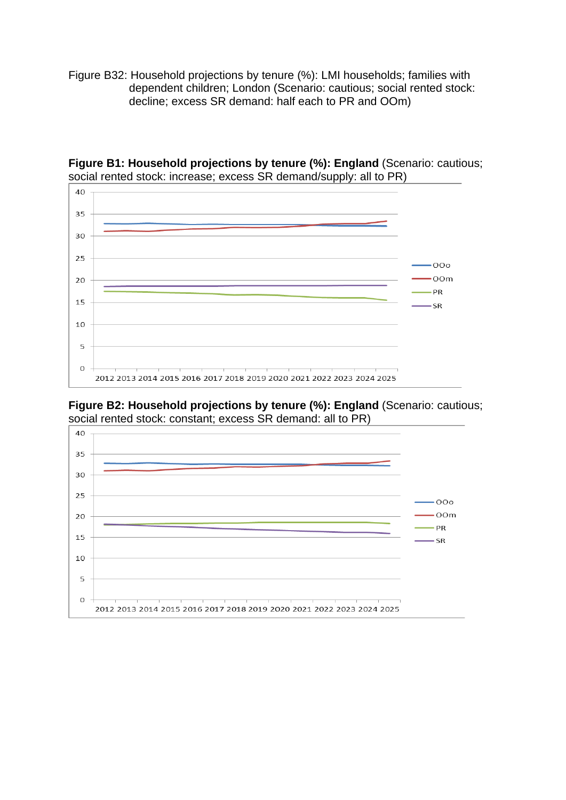Figure B32: Household projections by tenure (%): LMI households; families with dependent children; London (Scenario: cautious; social rented stock: decline; excess SR demand: half each to PR and OOm)



**Figure B1: Household projections by tenure (%): England (Scenario: cautious;** social rented stock: increase; excess SR demand/supply: all to PR)

**Figure B2: Household projections by tenure (%): England** (Scenario: cautious; social rented stock: constant; excess SR demand: all to PR)

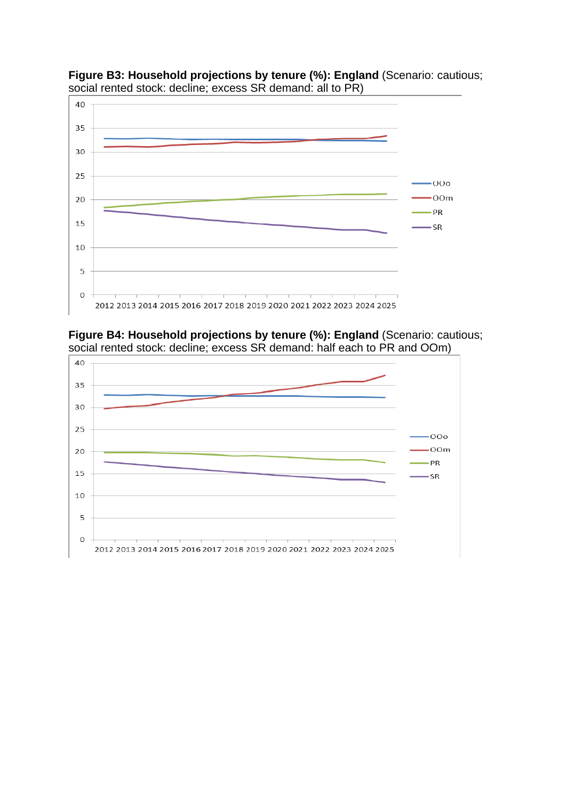

**Figure B3: Household projections by tenure (%): England** (Scenario: cautious; social rented stock: decline; excess SR demand: all to PR)

**Figure B4: Household projections by tenure (%): England** (Scenario: cautious; social rented stock: decline; excess SR demand: half each to PR and OOm)

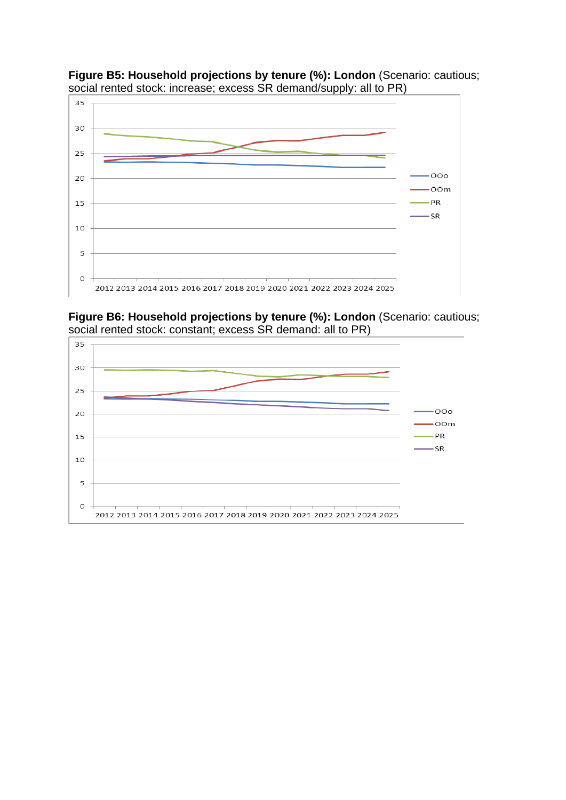

**Figure B5: Household projections by tenure (%): London** (Scenario: cautious; social rented stock: increase; excess SR demand/supply: all to PR)

**Figure B6: Household projections by tenure (%): London** (Scenario: cautious; social rented stock: constant; excess SR demand: all to PR)

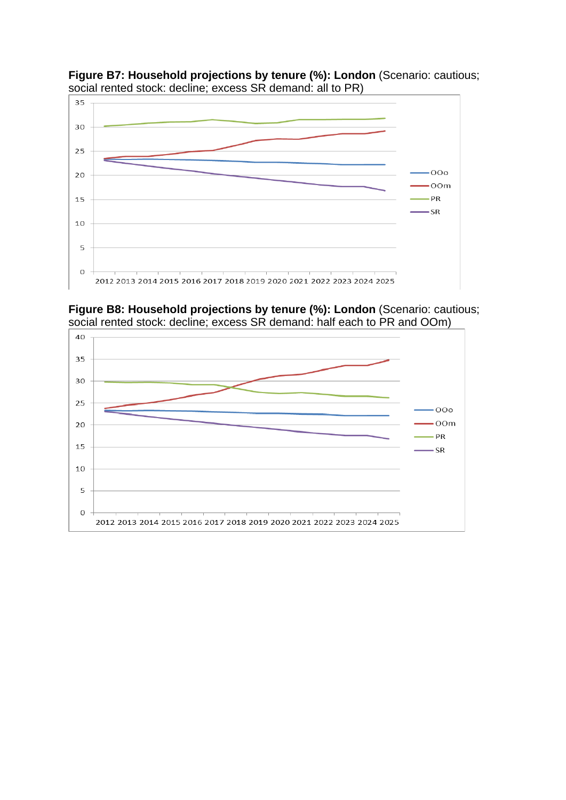

**Figure B7: Household projections by tenure (%): London** (Scenario: cautious; social rented stock: decline; excess SR demand: all to PR)

**Figure B8: Household projections by tenure (%): London** (Scenario: cautious; social rented stock: decline; excess SR demand: half each to PR and OOm)

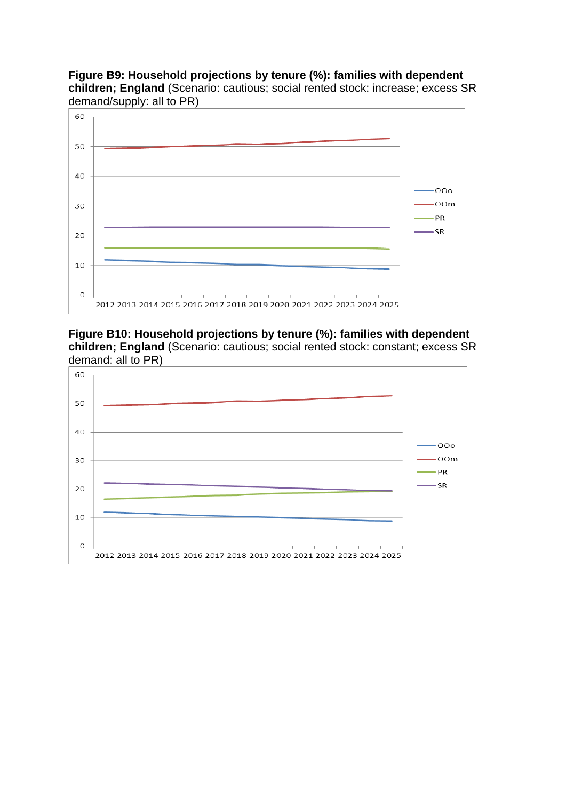**Figure B9: Household projections by tenure (%): families with dependent children; England** (Scenario: cautious; social rented stock: increase; excess SR demand/supply: all to PR)



**Figure B10: Household projections by tenure (%): families with dependent children; England** (Scenario: cautious; social rented stock: constant; excess SR demand: all to PR)

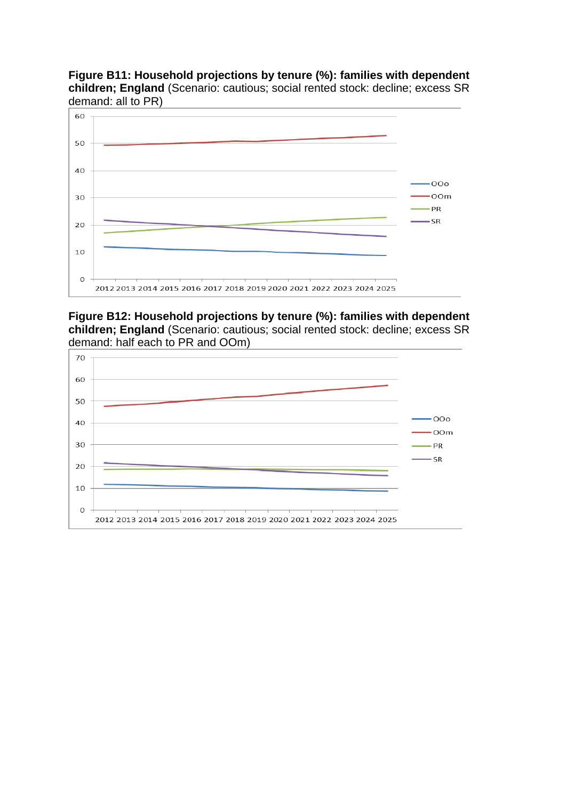**Figure B11: Household projections by tenure (%): families with dependent children; England** (Scenario: cautious; social rented stock: decline; excess SR demand: all to PR)



**Figure B12: Household projections by tenure (%): families with dependent children; England** (Scenario: cautious; social rented stock: decline; excess SR demand: half each to PR and OOm)

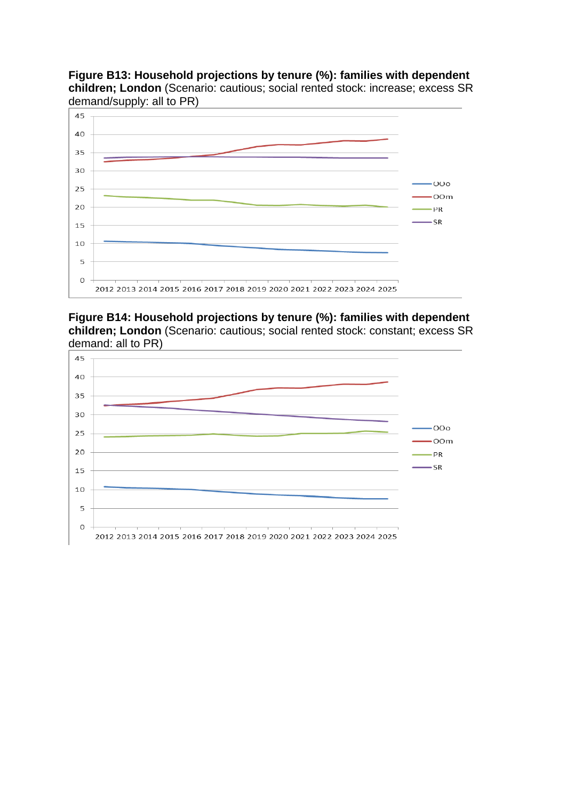**Figure B13: Household projections by tenure (%): families with dependent children; London** (Scenario: cautious; social rented stock: increase; excess SR demand/supply: all to PR)



**Figure B14: Household projections by tenure (%): families with dependent children; London** (Scenario: cautious; social rented stock: constant; excess SR demand: all to PR)

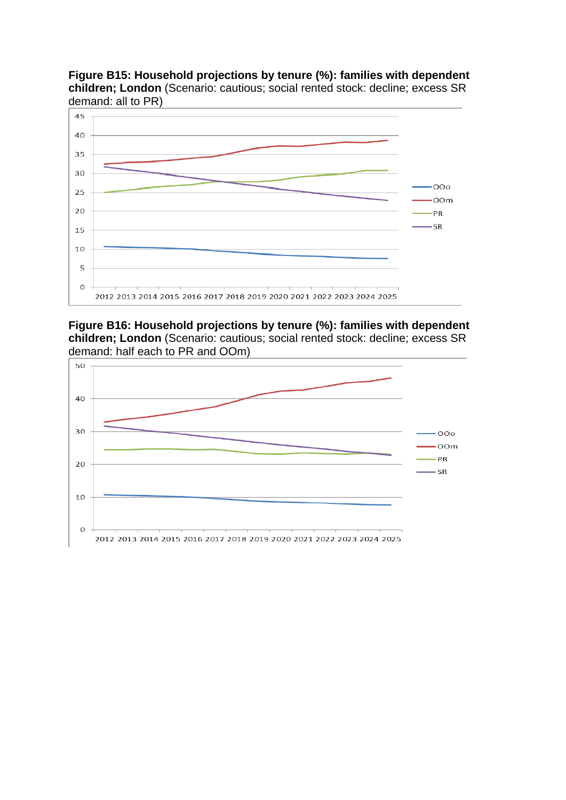**Figure B15: Household projections by tenure (%): families with dependent children; London** (Scenario: cautious; social rented stock: decline; excess SR demand: all to PR)



**Figure B16: Household projections by tenure (%): families with dependent children; London** (Scenario: cautious; social rented stock: decline; excess SR demand: half each to PR and OOm)

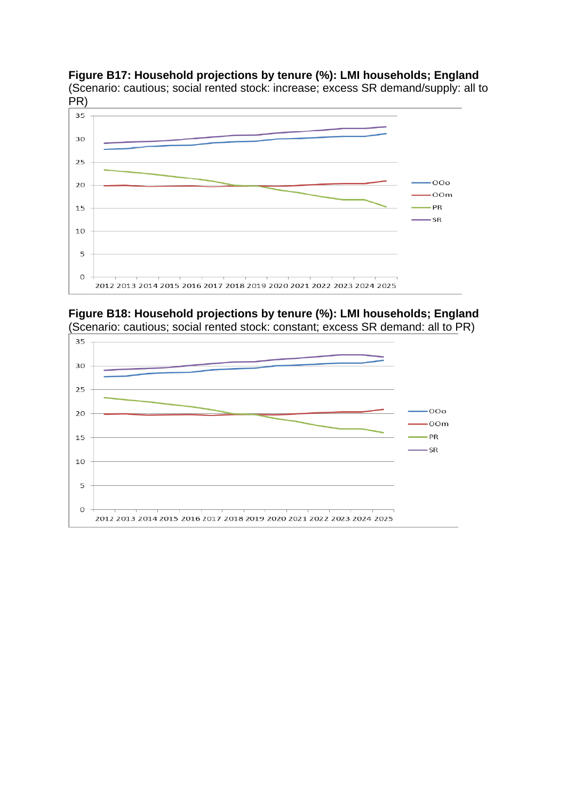**Figure B17: Household projections by tenure (%): LMI households; England** (Scenario: cautious; social rented stock: increase; excess SR demand/supply: all to



**Figure B18: Household projections by tenure (%): LMI households; England** (Scenario: cautious; social rented stock: constant; excess SR demand: all to PR)

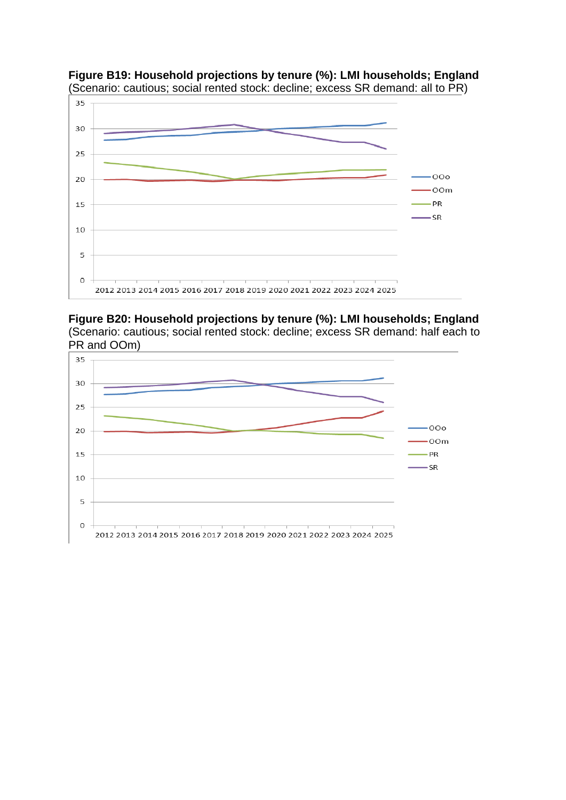

**Figure B19: Household projections by tenure (%): LMI households; England** (Scenario: cautious; social rented stock: decline; excess SR demand: all to PR)

**Figure B20: Household projections by tenure (%): LMI households; England** (Scenario: cautious; social rented stock: decline; excess SR demand: half each to PR and OOm)

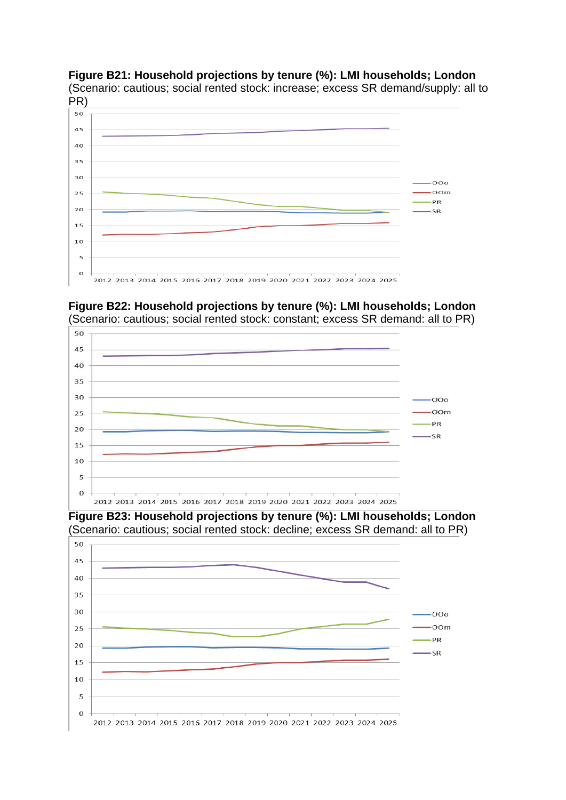## **Figure B21: Household projections by tenure (%): LMI households; London**

(Scenario: cautious; social rented stock: increase; excess SR demand/supply: all to PR)



50 45 40 35 30  $000$ 25 OOm PR 20 S<sub>R</sub> 15 10  $\overline{5}$  $\overline{O}$ 2012 2013 2014 2015 2016 2017 2018 2019 2020 2021 2022 2023 2024 2025

**Figure B22: Household projections by tenure (%): LMI households; London** (Scenario: cautious; social rented stock: constant; excess SR demand: all to PR)

**Figure B23: Household projections by tenure (%): LMI households; London** (Scenario: cautious; social rented stock: decline; excess SR demand: all to PR)

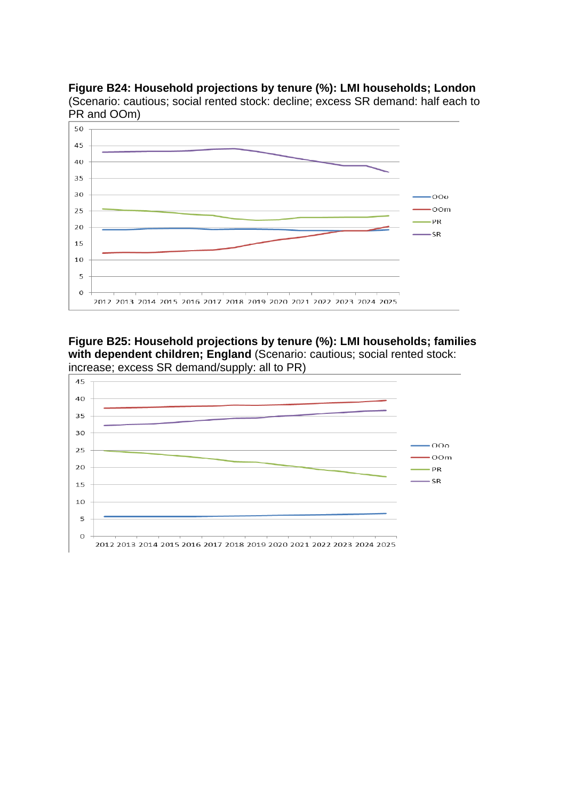**Figure B24: Household projections by tenure (%): LMI households; London** (Scenario: cautious; social rented stock: decline; excess SR demand: half each to PR and OOm)



**Figure B25: Household projections by tenure (%): LMI households; families**  with dependent children; England (Scenario: cautious; social rented stock: increase; excess SR demand/supply: all to PR)

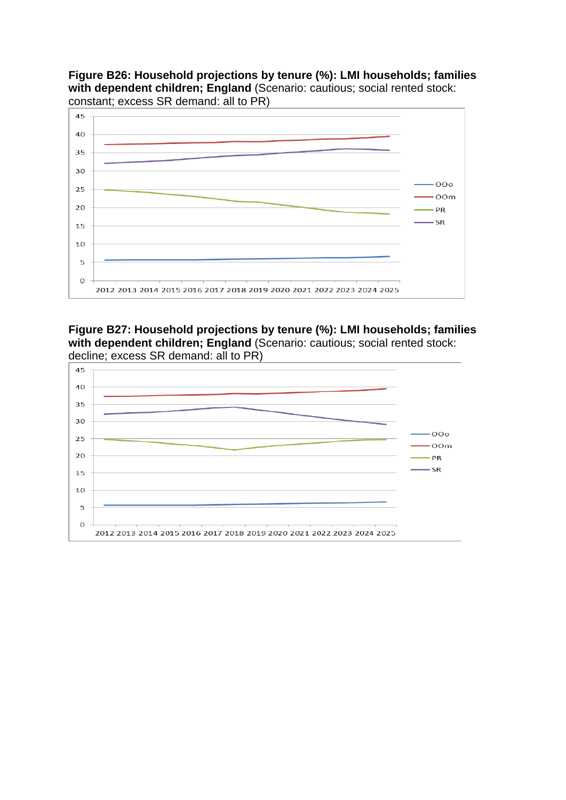**Figure B26: Household projections by tenure (%): LMI households; families**  with dependent children; England (Scenario: cautious; social rented stock: constant; excess SR demand: all to PR)



**Figure B27: Household projections by tenure (%): LMI households; families**  with dependent children; England (Scenario: cautious; social rented stock: decline; excess SR demand: all to PR)

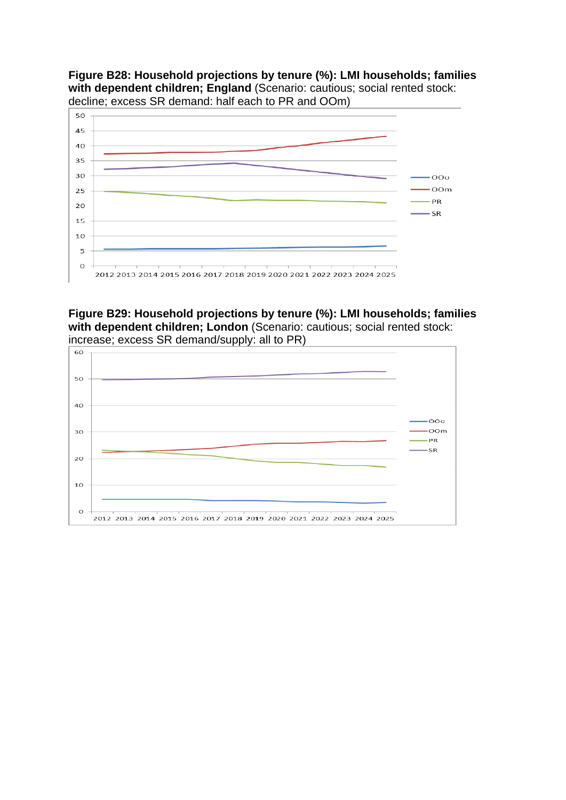**Figure B28: Household projections by tenure (%): LMI households; families**  with dependent children; England (Scenario: cautious; social rented stock: decline; excess SR demand: half each to PR and OOm)



**Figure B29: Household projections by tenure (%): LMI households; families with dependent children; London** (Scenario: cautious; social rented stock: increase; excess SR demand/supply: all to PR)

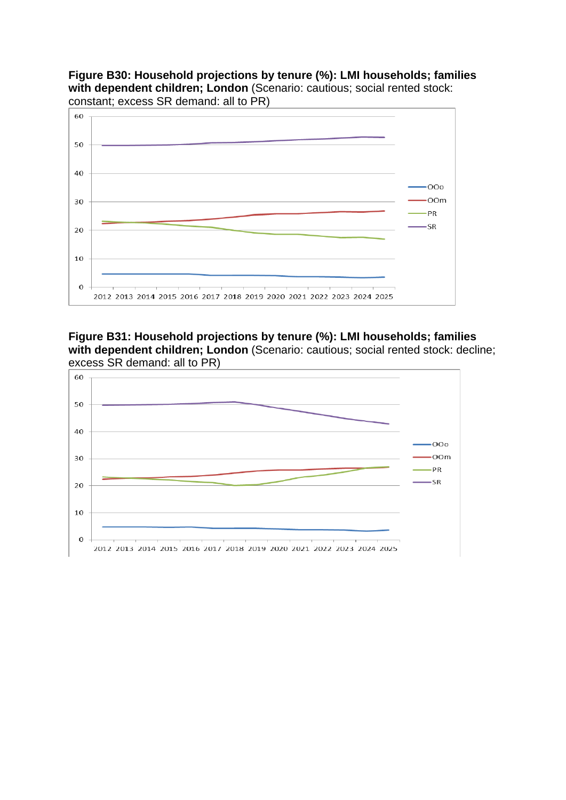**Figure B30: Household projections by tenure (%): LMI households; families**  with dependent children; London (Scenario: cautious; social rented stock: constant; excess SR demand: all to PR)



**Figure B31: Household projections by tenure (%): LMI households; families**  with dependent children; London (Scenario: cautious; social rented stock: decline; excess SR demand: all to PR)